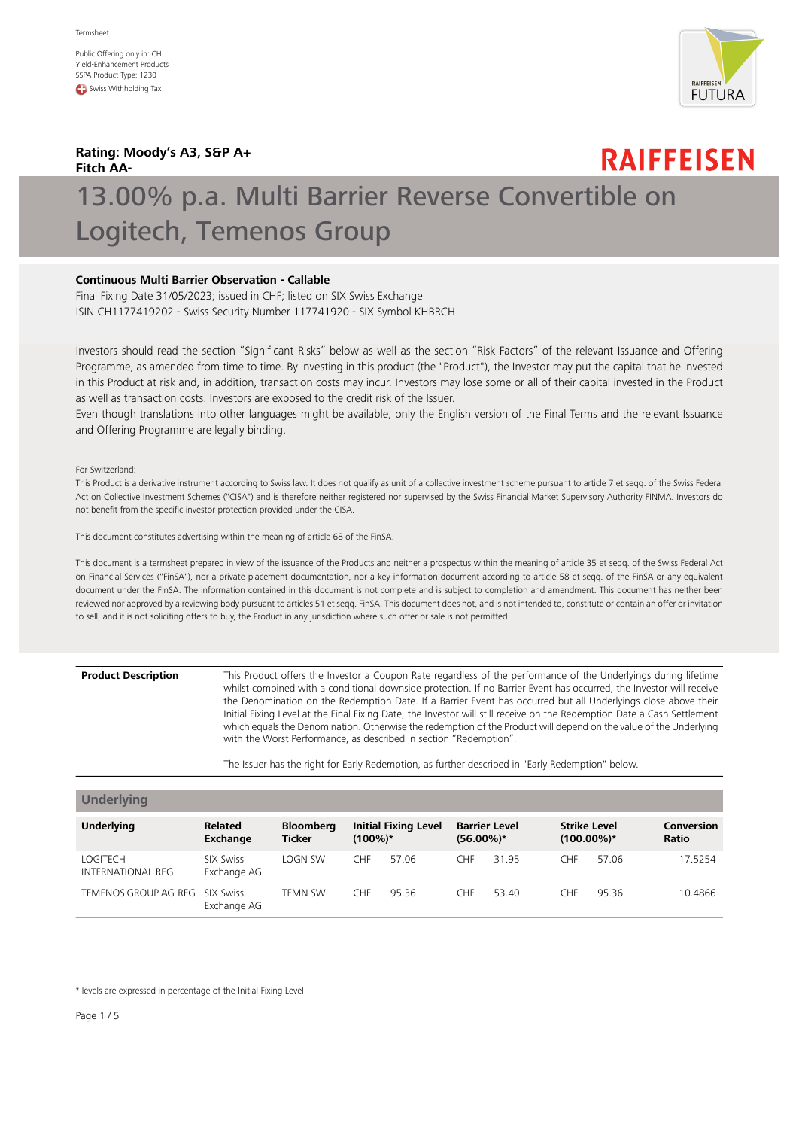Public Offering only in: CH Yield-Enhancement Products SSPA Product Type: 1230 **C** Swiss Withholding Tax



**Rating: Moody's A3, S&P A+ Fitch AA-**

## **RAIFFEISEN**

# 13.00% p.a. Multi Barrier Reverse Convertible on Logitech, Temenos Group

## **Continuous Multi Barrier Observation - Callable**

Final Fixing Date 31/05/2023; issued in CHF; listed on SIX Swiss Exchange ISIN CH1177419202 - Swiss Security Number 117741920 - SIX Symbol KHBRCH

Investors should read the section "Significant Risks" below as well as the section "Risk Factors" of the relevant Issuance and Offering Programme, as amended from time to time. By investing in this product (the "Product"), the Investor may put the capital that he invested in this Product at risk and, in addition, transaction costs may incur. Investors may lose some or all of their capital invested in the Product as well as transaction costs. Investors are exposed to the credit risk of the Issuer.

Even though translations into other languages might be available, only the English version of the Final Terms and the relevant Issuance and Offering Programme are legally binding.

For Switzerland:

This Product is a derivative instrument according to Swiss law. It does not qualify as unit of a collective investment scheme pursuant to article 7 et seqq. of the Swiss Federal Act on Collective Investment Schemes ("CISA") and is therefore neither registered nor supervised by the Swiss Financial Market Supervisory Authority FINMA. Investors do not benefit from the specific investor protection provided under the CISA.

This document constitutes advertising within the meaning of article 68 of the FinSA.

This document is a termsheet prepared in view of the issuance of the Products and neither a prospectus within the meaning of article 35 et seqq. of the Swiss Federal Act on Financial Services ("FinSA"), nor a private placement documentation, nor a key information document according to article 58 et seqq. of the FinSA or any equivalent document under the FinSA. The information contained in this document is not complete and is subject to completion and amendment. This document has neither been reviewed nor approved by a reviewing body pursuant to articles 51 et seqq. FinSA. This document does not, and is not intended to, constitute or contain an offer or invitation to sell, and it is not soliciting offers to buy, the Product in any jurisdiction where such offer or sale is not permitted.

This Product offers the Investor a Coupon Rate regardless of the performance of the Underlyings during lifetime whilst combined with a conditional downside protection. If no Barrier Event has occurred, the Investor will receive **Product Description** the Denomination on the Redemption Date. If a Barrier Event has occurred but all Underlyings close above their Initial Fixing Level at the Final Fixing Date, the Investor will still receive on the Redemption Date a Cash Settlement which equals the Denomination. Otherwise the redemption of the Product will depend on the value of the Underlying with the Worst Performance, as described in section "Redemption".

The Issuer has the right for Early Redemption, as further described in "Early Redemption" below.

| <b>Underlying</b>             |                                 |                                   |            |                             |              |                      |                                      |       |                            |
|-------------------------------|---------------------------------|-----------------------------------|------------|-----------------------------|--------------|----------------------|--------------------------------------|-------|----------------------------|
| <b>Underlying</b>             | <b>Related</b><br>Exchange      | <b>Bloomberg</b><br><b>Ticker</b> | $(100\%)*$ | <b>Initial Fixing Level</b> | $(56.00\%)*$ | <b>Barrier Level</b> | <b>Strike Level</b><br>$(100.00\%)*$ |       | Conversion<br><b>Ratio</b> |
| LOGITECH<br>INTERNATIONAL-REG | <b>SIX Swiss</b><br>Exchange AG | LOGN SW                           | <b>CHF</b> | 57.06                       | <b>CHF</b>   | 31.95                | CHF                                  | 57.06 | 17.5254                    |
| TEMENOS GROUP AG-REG          | SIX Swiss<br>Exchange AG        | TEMN SW                           | <b>CHF</b> | 95.36                       | <b>CHF</b>   | 53.40                | <b>CHF</b>                           | 95.36 | 10.4866                    |

\* levels are expressed in percentage of the Initial Fixing Level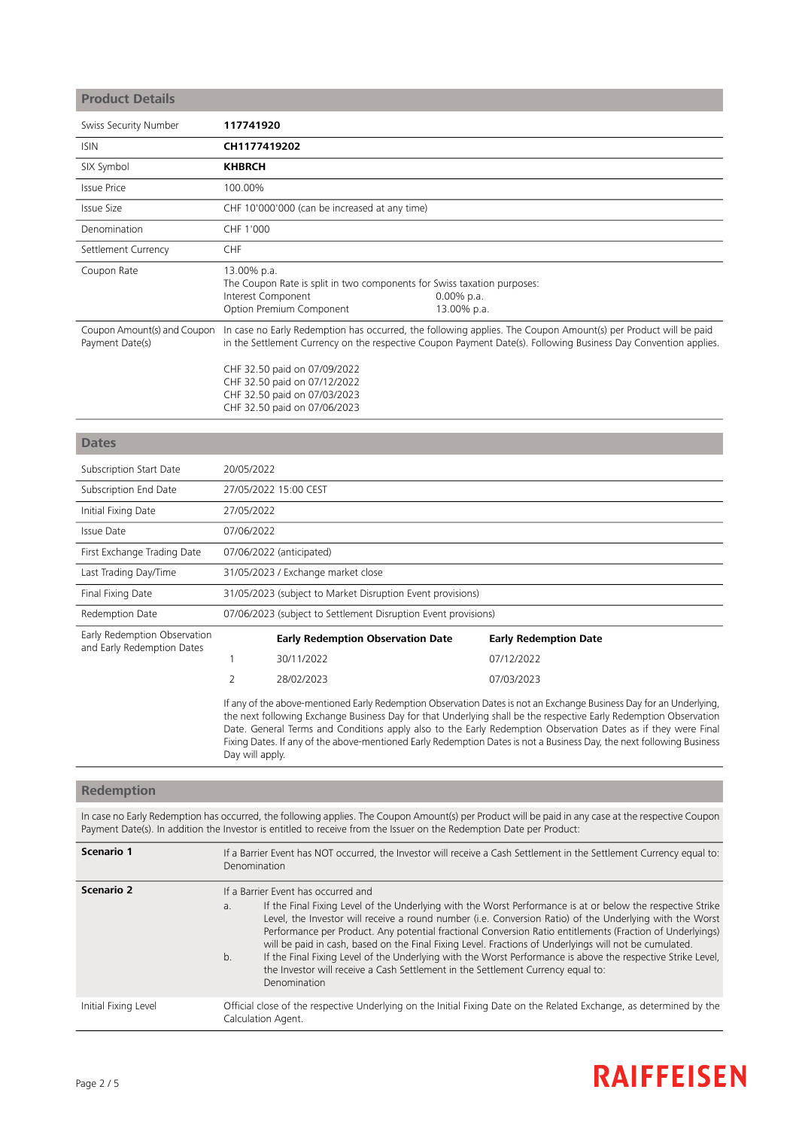| <b>Product Details</b>                         |                                                            |                                                                                                                              |                           |                                                                                                                                                                                                                                                                                                                                                           |
|------------------------------------------------|------------------------------------------------------------|------------------------------------------------------------------------------------------------------------------------------|---------------------------|-----------------------------------------------------------------------------------------------------------------------------------------------------------------------------------------------------------------------------------------------------------------------------------------------------------------------------------------------------------|
| Swiss Security Number                          | 117741920                                                  |                                                                                                                              |                           |                                                                                                                                                                                                                                                                                                                                                           |
| <b>ISIN</b>                                    | CH1177419202                                               |                                                                                                                              |                           |                                                                                                                                                                                                                                                                                                                                                           |
| SIX Symbol                                     | <b>KHBRCH</b>                                              |                                                                                                                              |                           |                                                                                                                                                                                                                                                                                                                                                           |
| <b>Issue Price</b>                             | 100.00%                                                    |                                                                                                                              |                           |                                                                                                                                                                                                                                                                                                                                                           |
| <b>Issue Size</b>                              |                                                            | CHF 10'000'000 (can be increased at any time)                                                                                |                           |                                                                                                                                                                                                                                                                                                                                                           |
| Denomination                                   | CHF 1'000                                                  |                                                                                                                              |                           |                                                                                                                                                                                                                                                                                                                                                           |
| Settlement Currency                            | CHF                                                        |                                                                                                                              |                           |                                                                                                                                                                                                                                                                                                                                                           |
| Coupon Rate                                    | 13.00% p.a.<br>Interest Component                          | The Coupon Rate is split in two components for Swiss taxation purposes:<br>Option Premium Component                          | 0.00% p.a.<br>13.00% p.a. |                                                                                                                                                                                                                                                                                                                                                           |
| Coupon Amount(s) and Coupon<br>Payment Date(s) |                                                            | CHF 32.50 paid on 07/09/2022<br>CHF 32.50 paid on 07/12/2022<br>CHF 32.50 paid on 07/03/2023<br>CHF 32.50 paid on 07/06/2023 |                           | In case no Early Redemption has occurred, the following applies. The Coupon Amount(s) per Product will be paid<br>in the Settlement Currency on the respective Coupon Payment Date(s). Following Business Day Convention applies.                                                                                                                         |
| <b>Dates</b>                                   |                                                            |                                                                                                                              |                           |                                                                                                                                                                                                                                                                                                                                                           |
| Subscription Start Date                        | 20/05/2022                                                 |                                                                                                                              |                           |                                                                                                                                                                                                                                                                                                                                                           |
| Subscription End Date                          |                                                            | 27/05/2022 15:00 CEST                                                                                                        |                           |                                                                                                                                                                                                                                                                                                                                                           |
| Initial Fixing Date                            | 27/05/2022                                                 |                                                                                                                              |                           |                                                                                                                                                                                                                                                                                                                                                           |
| Issue Date                                     | 07/06/2022                                                 |                                                                                                                              |                           |                                                                                                                                                                                                                                                                                                                                                           |
| First Exchange Trading Date                    |                                                            | 07/06/2022 (anticipated)                                                                                                     |                           |                                                                                                                                                                                                                                                                                                                                                           |
| Last Trading Day/Time                          | 31/05/2023 / Exchange market close                         |                                                                                                                              |                           |                                                                                                                                                                                                                                                                                                                                                           |
| Final Fixing Date                              | 31/05/2023 (subject to Market Disruption Event provisions) |                                                                                                                              |                           |                                                                                                                                                                                                                                                                                                                                                           |
| Redemption Date                                |                                                            | 07/06/2023 (subject to Settlement Disruption Event provisions)                                                               |                           |                                                                                                                                                                                                                                                                                                                                                           |
| Early Redemption Observation                   |                                                            | <b>Early Redemption Observation Date</b>                                                                                     |                           | <b>Early Redemption Date</b>                                                                                                                                                                                                                                                                                                                              |
| and Early Redemption Dates                     | 1                                                          | 30/11/2022                                                                                                                   |                           | 07/12/2022                                                                                                                                                                                                                                                                                                                                                |
|                                                | 2                                                          | 28/02/2023                                                                                                                   |                           | 07/03/2023                                                                                                                                                                                                                                                                                                                                                |
|                                                |                                                            |                                                                                                                              |                           | If any of the above-mentioned Early Redemption Observation Dates is not an Exchange Business Day for an Underlying,<br>the next following Exchange Business Day for that Underlying shall be the respective Early Redemption Observation<br>Date. General Terms and Conditions apply also to the Early Redemption Observation Dates as if they were Final |

## **Redemption**

Day will apply.

In case no Early Redemption has occurred, the following applies. The Coupon Amount(s) per Product will be paid in any case at the respective Coupon Payment Date(s). In addition the Investor is entitled to receive from the Issuer on the Redemption Date per Product:

Fixing Dates. If any of the above-mentioned Early Redemption Dates is not a Business Day, the next following Business

| Scenario 1           | If a Barrier Event has NOT occurred, the Investor will receive a Cash Settlement in the Settlement Currency equal to:<br>Denomination                                                                                                                                                                                                                                                                                                                                                                                                                                                                                                                                                                                 |  |  |
|----------------------|-----------------------------------------------------------------------------------------------------------------------------------------------------------------------------------------------------------------------------------------------------------------------------------------------------------------------------------------------------------------------------------------------------------------------------------------------------------------------------------------------------------------------------------------------------------------------------------------------------------------------------------------------------------------------------------------------------------------------|--|--|
| Scenario 2           | If a Barrier Event has occurred and<br>If the Final Fixing Level of the Underlying with the Worst Performance is at or below the respective Strike<br>a.<br>Level, the Investor will receive a round number (i.e. Conversion Ratio) of the Underlying with the Worst<br>Performance per Product. Any potential fractional Conversion Ratio entitlements (Fraction of Underlyings)<br>will be paid in cash, based on the Final Fixing Level. Fractions of Underlyings will not be cumulated.<br>If the Final Fixing Level of the Underlying with the Worst Performance is above the respective Strike Level,<br>b.<br>the Investor will receive a Cash Settlement in the Settlement Currency equal to:<br>Denomination |  |  |
| Initial Fixing Level | Official close of the respective Underlying on the Initial Fixing Date on the Related Exchange, as determined by the<br>Calculation Agent.                                                                                                                                                                                                                                                                                                                                                                                                                                                                                                                                                                            |  |  |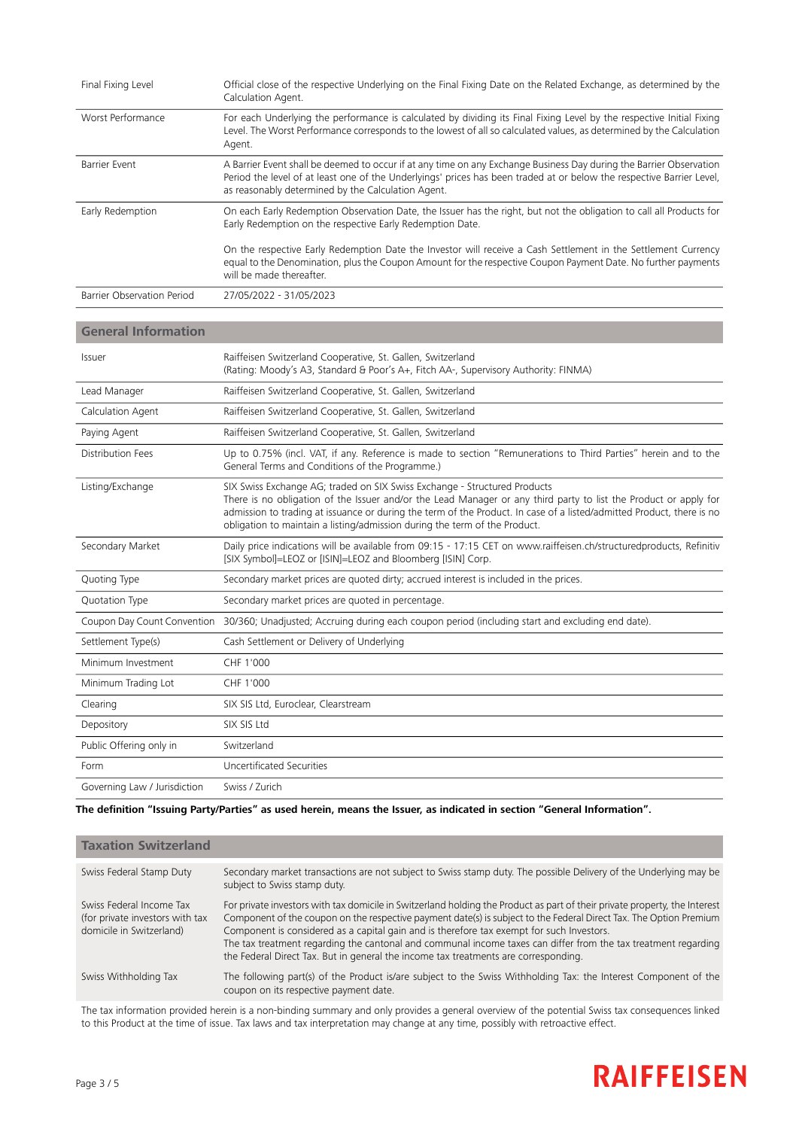| Final Fixing Level         | Official close of the respective Underlying on the Final Fixing Date on the Related Exchange, as determined by the<br>Calculation Agent.                                                                                                                                                           |
|----------------------------|----------------------------------------------------------------------------------------------------------------------------------------------------------------------------------------------------------------------------------------------------------------------------------------------------|
| Worst Performance          | For each Underlying the performance is calculated by dividing its Final Fixing Level by the respective Initial Fixing<br>Level. The Worst Performance corresponds to the lowest of all so calculated values, as determined by the Calculation<br>Agent.                                            |
| Barrier Event              | A Barrier Event shall be deemed to occur if at any time on any Exchange Business Day during the Barrier Observation<br>Period the level of at least one of the Underlyings' prices has been traded at or below the respective Barrier Level,<br>as reasonably determined by the Calculation Agent. |
| Early Redemption           | On each Early Redemption Observation Date, the Issuer has the right, but not the obligation to call all Products for<br>Early Redemption on the respective Early Redemption Date.                                                                                                                  |
|                            | On the respective Early Redemption Date the Investor will receive a Cash Settlement in the Settlement Currency<br>equal to the Denomination, plus the Coupon Amount for the respective Coupon Payment Date. No further payments<br>will be made thereafter.                                        |
| Barrier Observation Period | 27/05/2022 - 31/05/2023                                                                                                                                                                                                                                                                            |

## **General Information**

| Issuer                  | Raiffeisen Switzerland Cooperative, St. Gallen, Switzerland<br>(Rating: Moody's A3, Standard & Poor's A+, Fitch AA-, Supervisory Authority: FINMA)                                                                                                                                                                                                                                                   |
|-------------------------|------------------------------------------------------------------------------------------------------------------------------------------------------------------------------------------------------------------------------------------------------------------------------------------------------------------------------------------------------------------------------------------------------|
| Lead Manager            | Raiffeisen Switzerland Cooperative, St. Gallen, Switzerland                                                                                                                                                                                                                                                                                                                                          |
| Calculation Agent       | Raiffeisen Switzerland Cooperative, St. Gallen, Switzerland                                                                                                                                                                                                                                                                                                                                          |
| Paying Agent            | Raiffeisen Switzerland Cooperative, St. Gallen, Switzerland                                                                                                                                                                                                                                                                                                                                          |
| Distribution Fees       | Up to 0.75% (incl. VAT, if any. Reference is made to section "Remunerations to Third Parties" herein and to the<br>General Terms and Conditions of the Programme.)                                                                                                                                                                                                                                   |
| Listing/Exchange        | SIX Swiss Exchange AG; traded on SIX Swiss Exchange - Structured Products<br>There is no obligation of the Issuer and/or the Lead Manager or any third party to list the Product or apply for<br>admission to trading at issuance or during the term of the Product. In case of a listed/admitted Product, there is no<br>obligation to maintain a listing/admission during the term of the Product. |
| Secondary Market        | Daily price indications will be available from 09:15 - 17:15 CET on www.raiffeisen.ch/structuredproducts, Refinitiv<br>[SIX Symbol]=LEOZ or [ISIN]=LEOZ and Bloomberg [ISIN] Corp.                                                                                                                                                                                                                   |
| Quoting Type            | Secondary market prices are quoted dirty; accrued interest is included in the prices.                                                                                                                                                                                                                                                                                                                |
| Quotation Type          | Secondary market prices are quoted in percentage.                                                                                                                                                                                                                                                                                                                                                    |
|                         | Coupon Day Count Convention 30/360; Unadjusted; Accruing during each coupon period (including start and excluding end date).                                                                                                                                                                                                                                                                         |
| Settlement Type(s)      | Cash Settlement or Delivery of Underlying                                                                                                                                                                                                                                                                                                                                                            |
| Minimum Investment      | CHF 1'000                                                                                                                                                                                                                                                                                                                                                                                            |
| Minimum Trading Lot     | CHF 1'000                                                                                                                                                                                                                                                                                                                                                                                            |
| Clearing                | SIX SIS Ltd, Euroclear, Clearstream                                                                                                                                                                                                                                                                                                                                                                  |
| Depository              | SIX SIS Ltd                                                                                                                                                                                                                                                                                                                                                                                          |
| Public Offering only in | Switzerland                                                                                                                                                                                                                                                                                                                                                                                          |
| Form                    | Uncertificated Securities                                                                                                                                                                                                                                                                                                                                                                            |
|                         |                                                                                                                                                                                                                                                                                                                                                                                                      |

The definition "Issuing Party/Parties" as used herein, means the Issuer, as indicated in section "General Information".

| <b>Taxation Switzerland</b>                                                             |                                                                                                                                                                                                                                                                                                                                                                                                                                                                                                                                                        |
|-----------------------------------------------------------------------------------------|--------------------------------------------------------------------------------------------------------------------------------------------------------------------------------------------------------------------------------------------------------------------------------------------------------------------------------------------------------------------------------------------------------------------------------------------------------------------------------------------------------------------------------------------------------|
| Swiss Federal Stamp Duty                                                                | Secondary market transactions are not subject to Swiss stamp duty. The possible Delivery of the Underlying may be<br>subject to Swiss stamp duty.                                                                                                                                                                                                                                                                                                                                                                                                      |
| Swiss Federal Income Tax<br>(for private investors with tax<br>domicile in Switzerland) | For private investors with tax domicile in Switzerland holding the Product as part of their private property, the Interest<br>Component of the coupon on the respective payment date(s) is subject to the Federal Direct Tax. The Option Premium<br>Component is considered as a capital gain and is therefore tax exempt for such Investors.<br>The tax treatment regarding the cantonal and communal income taxes can differ from the tax treatment regarding<br>the Federal Direct Tax. But in general the income tax treatments are corresponding. |
| Swiss Withholding Tax                                                                   | The following part(s) of the Product is/are subject to the Swiss Withholding Tax: the Interest Component of the<br>coupon on its respective payment date.                                                                                                                                                                                                                                                                                                                                                                                              |

The tax information provided herein is a non-binding summary and only provides a general overview of the potential Swiss tax consequences linked to this Product at the time of issue. Tax laws and tax interpretation may change at any time, possibly with retroactive effect.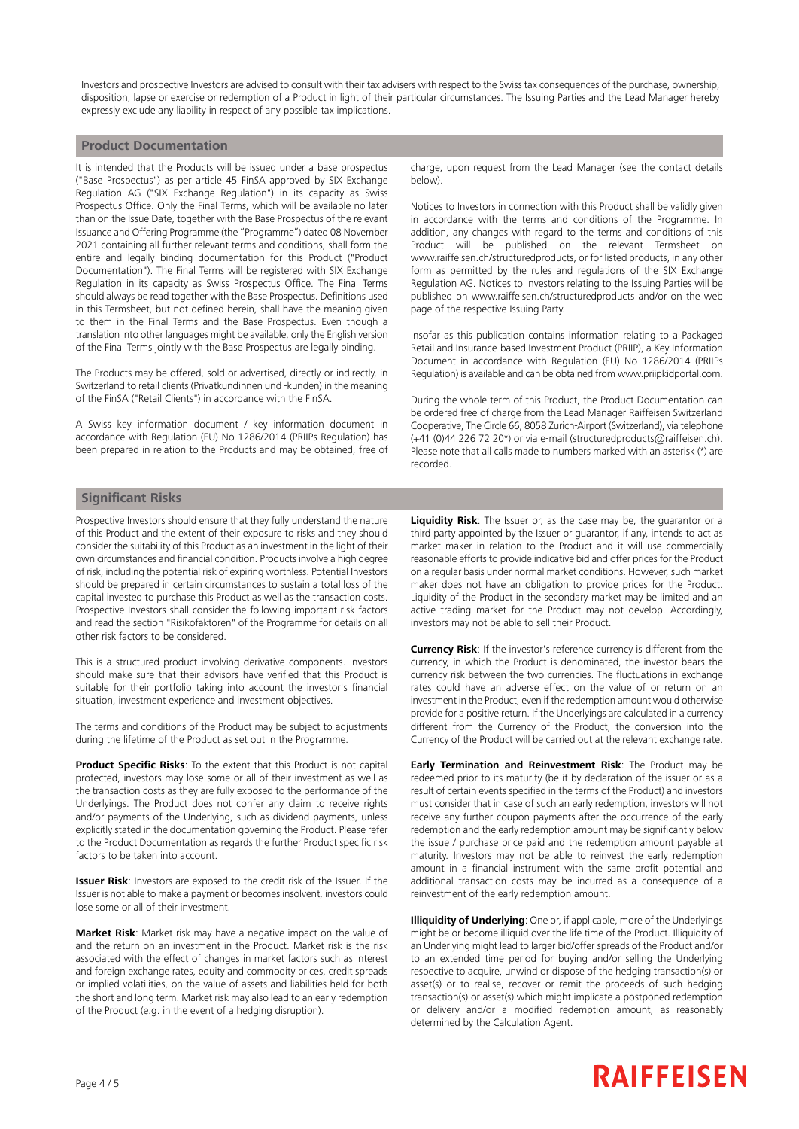Investors and prospective Investors are advised to consult with their tax advisers with respect to the Swiss tax consequences of the purchase, ownership, disposition, lapse or exercise or redemption of a Product in light of their particular circumstances. The Issuing Parties and the Lead Manager hereby expressly exclude any liability in respect of any possible tax implications.

### **Product Documentation**

It is intended that the Products will be issued under a base prospectus ("Base Prospectus") as per article 45 FinSA approved by SIX Exchange Regulation AG ("SIX Exchange Regulation") in its capacity as Swiss Prospectus Office. Only the Final Terms, which will be available no later than on the Issue Date, together with the Base Prospectus of the relevant Issuance and Offering Programme (the "Programme") dated 08 November 2021 containing all further relevant terms and conditions, shall form the entire and legally binding documentation for this Product ("Product Documentation"). The Final Terms will be registered with SIX Exchange Regulation in its capacity as Swiss Prospectus Office. The Final Terms should always be read together with the Base Prospectus. Definitions used in this Termsheet, but not defined herein, shall have the meaning given to them in the Final Terms and the Base Prospectus. Even though a translation into other languages might be available, only the English version of the Final Terms jointly with the Base Prospectus are legally binding.

The Products may be offered, sold or advertised, directly or indirectly, in Switzerland to retail clients (Privatkundinnen und -kunden) in the meaning of the FinSA ("Retail Clients") in accordance with the FinSA.

A Swiss key information document / key information document in accordance with Regulation (EU) No 1286/2014 (PRIIPs Regulation) has been prepared in relation to the Products and may be obtained, free of charge, upon request from the Lead Manager (see the contact details below).

Notices to Investors in connection with this Product shall be validly given in accordance with the terms and conditions of the Programme. In addition, any changes with regard to the terms and conditions of this Product will be published on the relevant Termsheet on www.raiffeisen.ch/structuredproducts, or for listed products, in any other form as permitted by the rules and regulations of the SIX Exchange Regulation AG. Notices to Investors relating to the Issuing Parties will be published on www.raiffeisen.ch/structuredproducts and/or on the web page of the respective Issuing Party.

Insofar as this publication contains information relating to a Packaged Retail and Insurance-based Investment Product (PRIIP), a Key Information Document in accordance with Regulation (EU) No 1286/2014 (PRIIPs Regulation) is available and can be obtained from www.priipkidportal.com.

During the whole term of this Product, the Product Documentation can be ordered free of charge from the Lead Manager Raiffeisen Switzerland Cooperative, The Circle 66, 8058 Zurich-Airport (Switzerland), via telephone (+41 (0)44 226 72 20\*) or via e-mail (structuredproducts@raiffeisen.ch). Please note that all calls made to numbers marked with an asterisk (\*) are recorded.

### **Significant Risks**

Prospective Investors should ensure that they fully understand the nature of this Product and the extent of their exposure to risks and they should consider the suitability of this Product as an investment in the light of their own circumstances and financial condition. Products involve a high degree of risk, including the potential risk of expiring worthless. Potential Investors should be prepared in certain circumstances to sustain a total loss of the capital invested to purchase this Product as well as the transaction costs. Prospective Investors shall consider the following important risk factors and read the section "Risikofaktoren" of the Programme for details on all other risk factors to be considered.

This is a structured product involving derivative components. Investors should make sure that their advisors have verified that this Product is suitable for their portfolio taking into account the investor's financial situation, investment experience and investment objectives.

The terms and conditions of the Product may be subject to adjustments during the lifetime of the Product as set out in the Programme.

**Product Specific Risks**: To the extent that this Product is not capital protected, investors may lose some or all of their investment as well as the transaction costs as they are fully exposed to the performance of the Underlyings. The Product does not confer any claim to receive rights and/or payments of the Underlying, such as dividend payments, unless explicitly stated in the documentation governing the Product. Please refer to the Product Documentation as regards the further Product specific risk factors to be taken into account.

**Issuer Risk**: Investors are exposed to the credit risk of the Issuer. If the Issuer is not able to make a payment or becomes insolvent, investors could lose some or all of their investment.

**Market Risk**: Market risk may have a negative impact on the value of and the return on an investment in the Product. Market risk is the risk associated with the effect of changes in market factors such as interest and foreign exchange rates, equity and commodity prices, credit spreads or implied volatilities, on the value of assets and liabilities held for both the short and long term. Market risk may also lead to an early redemption of the Product (e.g. in the event of a hedging disruption).

**Liquidity Risk**: The Issuer or, as the case may be, the guarantor or a third party appointed by the Issuer or guarantor, if any, intends to act as market maker in relation to the Product and it will use commercially reasonable efforts to provide indicative bid and offer prices for the Product on a regular basis under normal market conditions. However, such market maker does not have an obligation to provide prices for the Product. Liquidity of the Product in the secondary market may be limited and an active trading market for the Product may not develop. Accordingly, investors may not be able to sell their Product.

**Currency Risk**: If the investor's reference currency is different from the currency, in which the Product is denominated, the investor bears the currency risk between the two currencies. The fluctuations in exchange rates could have an adverse effect on the value of or return on an investment in the Product, even if the redemption amount would otherwise provide for a positive return. If the Underlyings are calculated in a currency different from the Currency of the Product, the conversion into the Currency of the Product will be carried out at the relevant exchange rate.

**Early Termination and Reinvestment Risk**: The Product may be redeemed prior to its maturity (be it by declaration of the issuer or as a result of certain events specified in the terms of the Product) and investors must consider that in case of such an early redemption, investors will not receive any further coupon payments after the occurrence of the early redemption and the early redemption amount may be significantly below the issue / purchase price paid and the redemption amount payable at maturity. Investors may not be able to reinvest the early redemption amount in a financial instrument with the same profit potential and additional transaction costs may be incurred as a consequence of a reinvestment of the early redemption amount.

**Illiquidity of Underlying**: One or, if applicable, more of the Underlyings might be or become illiquid over the life time of the Product. Illiquidity of an Underlying might lead to larger bid/offer spreads of the Product and/or to an extended time period for buying and/or selling the Underlying respective to acquire, unwind or dispose of the hedging transaction(s) or asset(s) or to realise, recover or remit the proceeds of such hedging transaction(s) or asset(s) which might implicate a postponed redemption or delivery and/or a modified redemption amount, as reasonably determined by the Calculation Agent.